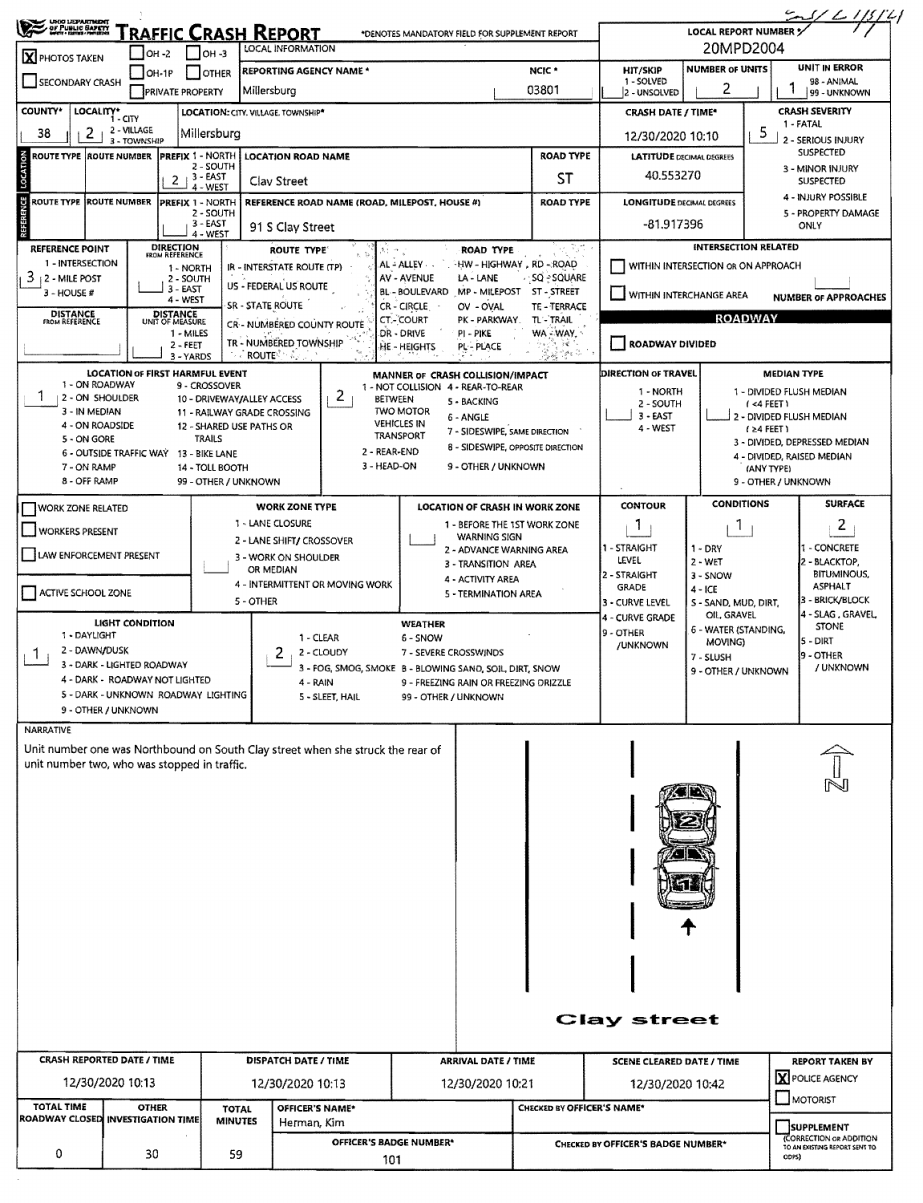| OF PUBLIC SAFETY                             |                                        |                                             |                                                                                 |                                                                                  |                            |                                                        |                                     | $\frac{2}{\frac{1}{\sqrt{2}}\left(\frac{1}{2}\right)^{2}}$<br>LOCAL REPORT NUMBER $\frac{1}{2}$ |  |  |  |  |
|----------------------------------------------|----------------------------------------|---------------------------------------------|---------------------------------------------------------------------------------|----------------------------------------------------------------------------------|----------------------------|--------------------------------------------------------|-------------------------------------|-------------------------------------------------------------------------------------------------|--|--|--|--|
|                                              | $IOH -2$                               | Iон -з                                      | <u>RAFFIC CRASH REPORT</u><br>LOCAL INFORMATION                                 | *DENOTES MANDATORY FIELD FOR SUPPLEMENT REPORT                                   |                            |                                                        | 20MPD2004                           |                                                                                                 |  |  |  |  |
| X PHOTOS TAKEN                               | OH-1P                                  | <b>OTHER</b>                                | <b>REPORTING AGENCY NAME *</b>                                                  |                                                                                  | NCIC <sup>*</sup>          | UNIT IN ERROR<br><b>NUMBER OF UNITS</b><br>HIT/SKIP    |                                     |                                                                                                 |  |  |  |  |
| <b>SECONDARY CRASH</b>                       | <b>PRIVATE PROPERTY</b>                |                                             | Millersburg                                                                     |                                                                                  | 03801                      | 1 - SOLVED<br>2 - UNSOLVED                             | 2                                   | 98 - ANIMAL<br>99 - UNKNOWN                                                                     |  |  |  |  |
| <b>COUNTY*</b><br>LOCALITY*                  | - CITY                                 |                                             | LOCATION: CITY. VILLAGE. TOWNSHIP*                                              |                                                                                  |                            | <b>CRASH DATE / TIME*</b>                              |                                     | <b>CRASH SEVERITY</b>                                                                           |  |  |  |  |
| 2<br>38                                      | 2 - VILLAGE<br>3 - TOWNSHIP            | Millersburg                                 |                                                                                 |                                                                                  |                            | 12/30/2020 10:10                                       |                                     | 1 - FATAL<br>5<br>2 - SERIOUS INJURY                                                            |  |  |  |  |
| <b>ROUTE TYPE ROUTE NUMBER</b>               |                                        | PREFIX 1 - NORTH                            | <b>LOCATION ROAD NAME</b>                                                       |                                                                                  | <b>ROAD TYPE</b>           | <b>LATITUDE DECIMAL DEGREES</b>                        |                                     | <b>SUSPECTED</b>                                                                                |  |  |  |  |
| LOCATION                                     | 2                                      | 2 - SOUTH<br>3 - EAST                       | Clay Street                                                                     |                                                                                  | 40.553270                  |                                                        | 3 - MINOR INJURY<br>SUSPECTED       |                                                                                                 |  |  |  |  |
| ROUTE TYPE IROUTE NUMBER                     |                                        | 4 - WEST<br><b>PREFIX 1 - NORTH</b>         | REFERENCE ROAD NAME (ROAD, MILEPOST, HOUSE #)                                   |                                                                                  | <b>ROAD TYPE</b>           | <b>LONGITUDE DECIMAL DEGREES</b>                       |                                     | 4 - INJURY POSSIBLE                                                                             |  |  |  |  |
| REFERENCE                                    |                                        | 2 - SOUTH<br>3 - EAST                       | 91 S Clay Street                                                                |                                                                                  |                            | -81.917396                                             |                                     | 5 - PROPERTY DAMAGE<br>ONLY                                                                     |  |  |  |  |
| REFERENCE POINT                              | DIRECTION<br>FROM REFERENCE            | 4 - WEST                                    | ROUTE TYPE                                                                      | <b>ROAD TYPE</b>                                                                 | TripA                      |                                                        | <b>INTERSECTION RELATED</b>         |                                                                                                 |  |  |  |  |
| 1 - INTERSECTION                             |                                        | 1 - NORTH                                   | IR - INTERSTATE ROUTE (TP)                                                      | AL - ALLEY<br>HW - HIGHWAY , RD - ROAD                                           |                            |                                                        | WITHIN INTERSECTION OR ON APPROACH  |                                                                                                 |  |  |  |  |
| 3.<br>2 - MILE POST<br>$3 - HOUSE#$          |                                        | 2 - SOUTH<br>3 EAST                         | US - FEDERAL US ROUTE                                                           | AV - AVENUE<br>LA - LANE<br>BL-BOULEVARD MP - MILEPOST ST - STREET               | SQ - SQUARE                |                                                        |                                     |                                                                                                 |  |  |  |  |
|                                              |                                        | 4 - WEST                                    | <b>SR - STATE ROUTE</b>                                                         | CR - CIRCLE<br>OV - OVAL                                                         | TE-TERRACE                 | WITHIN INTERCHANGE AREA                                |                                     | <b>NUMBER OF APPROACHES</b>                                                                     |  |  |  |  |
| <b>DISTANCE</b><br>FROM REFERENCE            | <b>DISTANCE</b><br>UNIT OF MEASURE     | 1 - MILES                                   | <b>CR-- NUMBERED COUNTY ROUTE</b>                                               | <b>CT.- COURT</b><br>PK - PARKWAY.<br>DR - DRIVE<br>PI - PIKE                    | TL-TRAIL<br>WA - WAY,      |                                                        | <b>ROADWAY</b>                      |                                                                                                 |  |  |  |  |
|                                              |                                        | 2 - FEET<br>3 - YARDS                       | TR - NUMBERED TOWNSHIP<br>$ROUTE$ $\sim$                                        | HE - HEIGHTS<br>PL - PLACE                                                       | 読む                         | ROADWAY DIVIDED                                        |                                     |                                                                                                 |  |  |  |  |
|                                              | <b>LOCATION OF FIRST HARMFUL EVENT</b> |                                             |                                                                                 | MANNER OF CRASH COLLISION/IMPACT                                                 |                            | DIRECTION OF TRAVEL                                    |                                     | <b>MEDIAN TYPE</b>                                                                              |  |  |  |  |
| 1 - ON ROADWAY<br>2 - ON SHOULDER            |                                        | 9 - CROSSOVER<br>10 - DRIVEWAY/ALLEY ACCESS | 2                                                                               | 1 - NOT COLLISION 4 - REAR-TO-REAR<br>BETWEEN                                    |                            | 1 - NORTH                                              |                                     | 1 - DIVIDED FLUSH MEDIAN                                                                        |  |  |  |  |
| 3 - IN MEDIAN                                |                                        |                                             | 11 - RAILWAY GRADE CROSSING                                                     | 5 - BACKING<br><b>TWO MOTOR</b><br>6 - ANGLE                                     |                            | 2 - SOUTH<br>$3 - EAST$                                |                                     | (<4 FEET)<br>2 - DIVIDED FLUSH MEDIAN                                                           |  |  |  |  |
| 4 - ON ROADSIDE<br>5 - ON GORE               |                                        | 12 - SHARED USE PATHS OR<br><b>TRAILS</b>   |                                                                                 | <b>VEHICLES IN</b><br>7 - SIDESWIPE, SAME DIRECTION<br>TRANSPORT                 |                            | 4 - WEST                                               |                                     | $(24$ FEET)                                                                                     |  |  |  |  |
| 6 - OUTSIDE TRAFFIC WAY                      |                                        | 13 - BIKE LANE                              | 2 - REAR-END                                                                    | 8 - SIDESWIPE, OPPOSITE DIRECTION                                                |                            |                                                        |                                     | 3 - DIVIDED, DEPRESSED MEDIAN<br>4 - DIVIDED, RAISED MEDIAN                                     |  |  |  |  |
| 7 - ON RAMP<br>8 - OFF RAMP                  |                                        | 14 - TOLL BOOTH<br>99 - OTHER / UNKNOWN     | 3 - HEAD-ON                                                                     | 9 - OTHER / UNKNOWN                                                              |                            |                                                        |                                     | (ANY TYPE)<br>9 - OTHER / UNKNOWN                                                               |  |  |  |  |
|                                              |                                        |                                             |                                                                                 |                                                                                  |                            | <b>CONTOUR</b>                                         | <b>CONDITIONS</b>                   | <b>SURFACE</b>                                                                                  |  |  |  |  |
| <b>WORK ZONE RELATED</b>                     |                                        |                                             | <b>WORK ZONE TYPE</b><br>1 - LANE CLOSURE                                       | <b>LOCATION OF CRASH IN WORK ZONE</b><br>1 - BEFORE THE 1ST WORK ZONE            |                            | T                                                      |                                     | 2                                                                                               |  |  |  |  |
| <b>WORKERS PRESENT</b>                       |                                        |                                             | 2 - LANE SHIFT/ CROSSOVER                                                       | <b>WARNING SIGN</b>                                                              |                            |                                                        | Т.                                  |                                                                                                 |  |  |  |  |
| LAW ENFORCEMENT PRESENT                      |                                        |                                             | 3 - WORK ON SHOULDER                                                            | 2 - ADVANCE WARNING AREA<br>3 - TRANSITION AREA                                  |                            | 1 STRAIGHT<br>LEVEL                                    | $1 - DRY$<br>$2 - WET$              | I - CONCRETE<br>2 - BLACKTOP,                                                                   |  |  |  |  |
|                                              |                                        |                                             | OR MEDIAN<br>4 - INTERMITTENT OR MOVING WORK                                    | 4 - ACTIVITY AREA                                                                |                            | 2 - STRAIGHT<br><b>GRADE</b>                           | 3 - SNOW                            | <b>BITUMINOUS,</b><br><b>ASPHALT</b>                                                            |  |  |  |  |
| ACTIVE SCHOOL ZONE                           |                                        |                                             | 5 - OTHER                                                                       | 5 - TERMINATION AREA                                                             |                            | 3 - CURVE LEVEL                                        | 4 - ICE<br>S - SAND, MUD, DIRT,     | 3 - BRICK/BLOCK                                                                                 |  |  |  |  |
|                                              | <b>LIGHT CONDITION</b>                 |                                             |                                                                                 | <b>WEATHER</b>                                                                   |                            | 4 - CURVE GRADE                                        | OIL, GRAVEL<br>6 - WATER (STANDING, | 4 - SLAG, GRAVEL<br><b>STONE</b>                                                                |  |  |  |  |
| 1 - DAYLIGHT<br>2 - DAWN/DUSK                |                                        |                                             | 1 - CLEAR                                                                       | 6 - SNOW                                                                         |                            | 19 - OTHER<br>/UNKNOWN                                 | MOVING)                             | 5 - DIRT                                                                                        |  |  |  |  |
| T.                                           | 3 - DARK - LIGHTED ROADWAY             |                                             | 2 - CLOUDY                                                                      | 7 - SEVERE CROSSWINDS<br>3 - FOG, SMOG, SMOKE B - BLOWING SAND, SOIL, DIRT, SNOW |                            |                                                        | 7 - SLUSH<br>9 - OTHER / UNKNOWN    | 9 - OTHER<br>/ UNKNOWN                                                                          |  |  |  |  |
|                                              | 4 - DARK - ROADWAY NOT LIGHTED         |                                             | 4 - RAIN                                                                        | 9 - FREEZING RAIN OR FREEZING DRIZZLE                                            |                            |                                                        |                                     |                                                                                                 |  |  |  |  |
| 9 - OTHER / UNKNOWN                          | 5 - DARK - UNKNOWN ROADWAY LIGHTING    |                                             | 5 - SLEET, HAIL                                                                 | 99 - OTHER / UNKNOWN                                                             |                            |                                                        |                                     |                                                                                                 |  |  |  |  |
| <b>NARRATIVE</b>                             |                                        |                                             |                                                                                 |                                                                                  |                            |                                                        |                                     |                                                                                                 |  |  |  |  |
| unit number two, who was stopped in traffic. |                                        |                                             | Unit number one was Northbound on South Clay street when she struck the rear of |                                                                                  |                            |                                                        |                                     |                                                                                                 |  |  |  |  |
|                                              |                                        |                                             |                                                                                 |                                                                                  |                            |                                                        |                                     |                                                                                                 |  |  |  |  |
|                                              |                                        |                                             |                                                                                 |                                                                                  |                            |                                                        |                                     |                                                                                                 |  |  |  |  |
| <b>CRASH REPORTED DATE / TIME</b>            |                                        |                                             | <b>DISPATCH DATE / TIME</b>                                                     | <b>ARRIVAL DATE / TIME</b>                                                       |                            | <b>Clay street</b><br><b>SCENE CLEARED DATE / TIME</b> |                                     | <b>REPORT TAKEN BY</b>                                                                          |  |  |  |  |
| 12/30/2020 10:13                             |                                        |                                             | 12/30/2020 10:13                                                                | 12/30/2020 10:21                                                                 |                            | 12/30/2020 10:42                                       |                                     | X POLICE AGENCY                                                                                 |  |  |  |  |
| <b>TOTAL TIME</b>                            | <b>OTHER</b>                           | <b>TOTAL</b>                                | OFFICER'S NAME*                                                                 |                                                                                  | CHECKED BY OFFICER'S NAME* |                                                        |                                     | MOTORIST                                                                                        |  |  |  |  |
| ROADWAY CLOSED INVESTIGATION TIME            |                                        | <b>MINUTES</b>                              | Herman, Kim                                                                     |                                                                                  |                            |                                                        |                                     | <b>SUPPLEMENT</b><br>(CORRECTION OR ADDITION                                                    |  |  |  |  |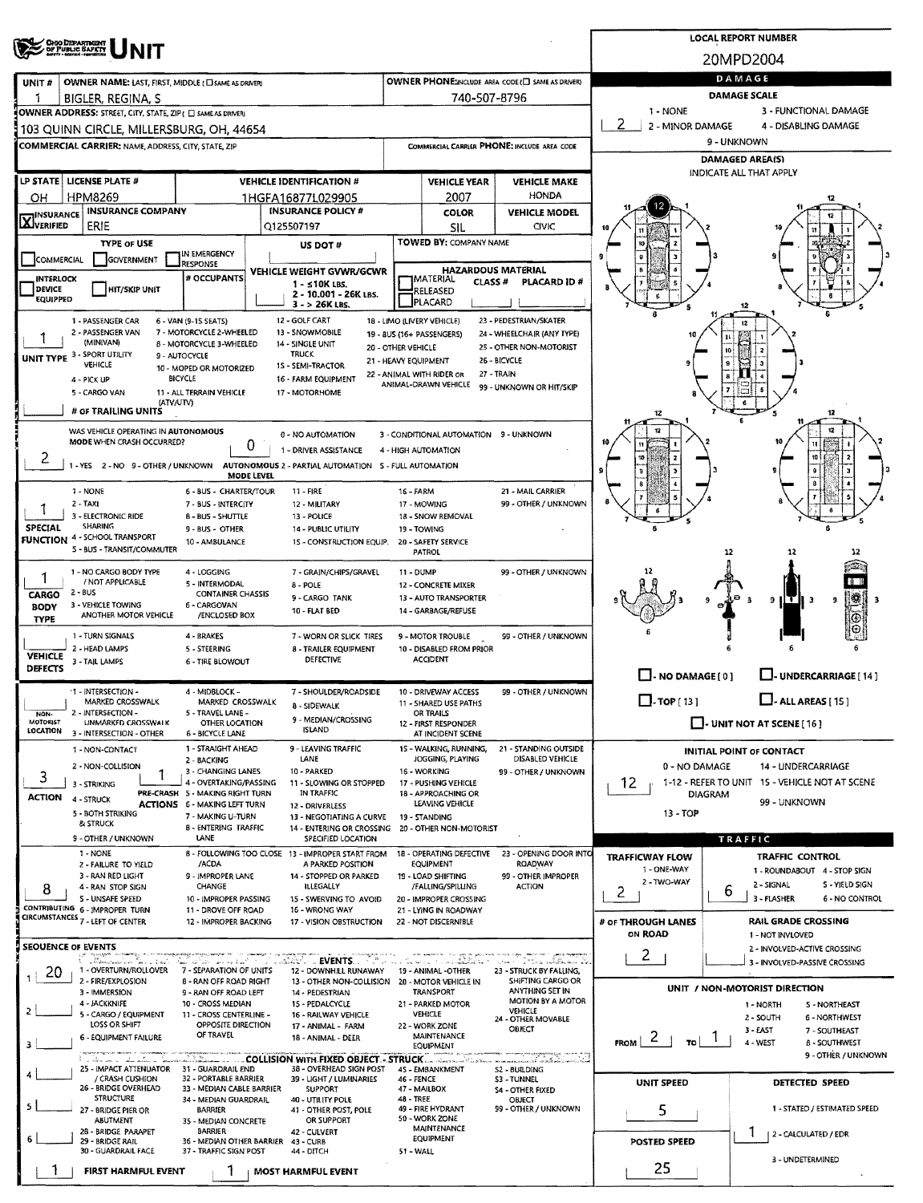|                                                                                                                                        |                                                                                          |                                                        |                   |                                                                                                             |                                  |                                                               |                                                      |                               |                      | <b>LOCAL REPORT NUMBER</b>                                           |  |  |  |  |  |
|----------------------------------------------------------------------------------------------------------------------------------------|------------------------------------------------------------------------------------------|--------------------------------------------------------|-------------------|-------------------------------------------------------------------------------------------------------------|----------------------------------|---------------------------------------------------------------|------------------------------------------------------|-------------------------------|----------------------|----------------------------------------------------------------------|--|--|--|--|--|
|                                                                                                                                        | <b>OHO DEPARTMENT</b><br>OF PUBLIC SAFETY                                                |                                                        |                   |                                                                                                             |                                  |                                                               |                                                      |                               | 20MPD2004            |                                                                      |  |  |  |  |  |
| OWNER PHONE: NOLLIDE AREA CODE (E) SAME AS DRIVERY<br><b>OWNER NAME: LAST, FIRST, MIDDLE (CI SAME AS DRIVER)</b><br>UNIT#              |                                                                                          |                                                        |                   |                                                                                                             |                                  |                                                               |                                                      | DAMAGE                        |                      |                                                                      |  |  |  |  |  |
|                                                                                                                                        | BIGLER, REGINA, S                                                                        |                                                        |                   |                                                                                                             |                                  | 740-507-8796                                                  |                                                      | DAMAGE SCALE                  |                      |                                                                      |  |  |  |  |  |
|                                                                                                                                        | OWNER ADDRESS: STREET, CITY, STATE, ZIP ( C) SAME AS DRIVERY                             |                                                        |                   |                                                                                                             |                                  |                                                               |                                                      | 1 - NONE<br>2                 |                      | 3 - FUNCTIONAL DAMAGE                                                |  |  |  |  |  |
|                                                                                                                                        | 103 QUINN CIRCLE, MILLERSBURG, OH, 44654                                                 |                                                        |                   |                                                                                                             |                                  |                                                               |                                                      | 2 - MINOR DAMAGE              |                      | 4 - DISABLING DAMAGE<br>9 - UNKNOWN                                  |  |  |  |  |  |
|                                                                                                                                        | <b>COMMERCIAL CARRIER: NAME, ADDRESS, CITY, STATE, ZIP</b>                               |                                                        |                   |                                                                                                             |                                  |                                                               | COMMERCIAL CARRIER PHONE: INCLUDE AREA CODE          |                               |                      | DAMAGED AREA(S)                                                      |  |  |  |  |  |
|                                                                                                                                        | LP STATE   LICENSE PLATE #                                                               |                                                        |                   | <b>VEHICLE IDENTIFICATION #</b>                                                                             |                                  |                                                               |                                                      |                               |                      | INDICATE ALL THAT APPLY                                              |  |  |  |  |  |
| OН                                                                                                                                     | <b>HPM8269</b>                                                                           |                                                        |                   | 1HGFA16877L029905                                                                                           |                                  | <b>VEHICLE YEAR</b><br>2007                                   | <b>VEHICLE MAKE</b><br><b>HONDA</b>                  |                               |                      |                                                                      |  |  |  |  |  |
| <b>INSURANCE</b>                                                                                                                       | <b>INSURANCE COMPANY</b>                                                                 |                                                        |                   | <b>INSURANCE POLICY #</b>                                                                                   |                                  | <b>COLOR</b>                                                  | <b>VEHICLE MODEL</b>                                 |                               |                      |                                                                      |  |  |  |  |  |
| <b>LXJ</b> VERIFIED                                                                                                                    | ERIE                                                                                     |                                                        |                   | Q125507197                                                                                                  |                                  | SIL                                                           | <b>CIVIC</b>                                         |                               |                      |                                                                      |  |  |  |  |  |
|                                                                                                                                        | <b>TYPE OF USE</b>                                                                       | IN EMERGENCY                                           |                   | US DOT#                                                                                                     |                                  | TOWED BY: COMPANY NAME                                        |                                                      |                               |                      |                                                                      |  |  |  |  |  |
| COMMERCIAL                                                                                                                             | GOVERNMENT                                                                               | RESPONSE                                               |                   | VEHICLE WEIGHT GVWR/GCWR                                                                                    |                                  | <b>HAZARDOUS MATERIAL</b>                                     |                                                      |                               |                      |                                                                      |  |  |  |  |  |
| <b>INTERLOCK</b><br><b>DEVICE</b>                                                                                                      | <b>HIT/SKIP UNIT</b>                                                                     | # OCCUPANTS                                            |                   | 1 - ≤10K LBS.<br>2 - 10.001 - 26K LBS.                                                                      |                                  | <b>IMATERIAL</b><br><b>CLASS#</b><br>RELEASED                 | <b>PLACARD ID#</b>                                   |                               |                      |                                                                      |  |  |  |  |  |
| <b>EQUIPPED</b>                                                                                                                        |                                                                                          |                                                        |                   | $3 - 26K$ LBS.                                                                                              |                                  | PLACARD                                                       |                                                      |                               |                      |                                                                      |  |  |  |  |  |
|                                                                                                                                        | 1 - PASSENGER CAR<br>2 - PASSENGER VAN                                                   | 6 - VAN (9-15 SEATS)<br>7 - MOTORCYCLE 2-WHEELED       |                   | 12 - GOLF CART<br>13 - SNOWMOBILE                                                                           |                                  | 18 - LIMO (LIVERY VEHICLE)<br>19 - BUS (16+ PASSENGERS)       | 23 - PEDESTRIAN/SKATER<br>24 - WHEELCHAIR (ANY TYPE) |                               |                      |                                                                      |  |  |  |  |  |
|                                                                                                                                        | (MINIVAN)                                                                                | 8 - MOTORCYCLE 3-WHEELED                               |                   | 14 - SINGLE UNIT<br><b>TRUCK</b>                                                                            | 20 - OTHER VEHICLE               |                                                               | 25 - OTHER NON-MOTORIST                              |                               | 10                   |                                                                      |  |  |  |  |  |
|                                                                                                                                        | UNIT TYPE 3 - SPORT UTILITY<br>VEHICLE                                                   | 9 - AUTOCYCLE<br>10 - MOPED OR MOTORIZED               |                   | 15 - SEMI-TRACTOR                                                                                           |                                  | 21 - HEAVY EQUIPMENT                                          | 26 - BICYCLE                                         |                               |                      |                                                                      |  |  |  |  |  |
|                                                                                                                                        | 4 - PICK UP<br>5 - CARGO VAN                                                             | <b>BICYCLE</b><br>11 - ALL TERRAIN VEHICLE             |                   | 16 - FARM EQUIPMENT<br>17 - MOTORHOME                                                                       |                                  | 22 - ANIMAL WITH RIDER OR<br>ANIMAL-DRAWN VEHICLE             | 27 - TRAIN<br>99 - UNKNOWN OR HIT/SKIP               |                               |                      |                                                                      |  |  |  |  |  |
|                                                                                                                                        | (ATV/UTV)<br># OF TRAILING UNITS                                                         |                                                        |                   |                                                                                                             |                                  |                                                               |                                                      |                               |                      | 6                                                                    |  |  |  |  |  |
|                                                                                                                                        | WAS VEHICLE OPERATING IN AUTONOMOUS                                                      |                                                        |                   |                                                                                                             |                                  |                                                               |                                                      | 12                            |                      | 12                                                                   |  |  |  |  |  |
|                                                                                                                                        | MODE WHEN CRASH OCCURRED?                                                                |                                                        | 0.                | 0 - NO AUTOMATION<br>1 - DRIVER ASSISTANCE                                                                  |                                  | 3 - CONDITIONAL AUTOMATION 9 - UNKNOWN<br>4 - HIGH AUTOMATION |                                                      |                               |                      |                                                                      |  |  |  |  |  |
| 2                                                                                                                                      | 1 - YES 2 - NO 9 - OTHER / UNKNOWN AUTONOMOUS 2 - PARTIAL AUTOMATION 5 - FULL AUTOMATION |                                                        |                   |                                                                                                             |                                  |                                                               |                                                      |                               |                      | 10                                                                   |  |  |  |  |  |
|                                                                                                                                        |                                                                                          |                                                        | <b>MODE LEVEL</b> |                                                                                                             |                                  |                                                               |                                                      |                               |                      |                                                                      |  |  |  |  |  |
|                                                                                                                                        | 1 - NONE<br>$2 - TAXI$                                                                   | 6 - BUS - CHARTER/TOUR<br>7 - BUS - INTERCITY          |                   | $11 - FIRE$<br>12 - MILITARY                                                                                | <b>16 - FARM</b>                 | 17 - MOWING                                                   | 21 - MAIL CARRIER<br>99 - OTHER / UNKNOWN            |                               |                      |                                                                      |  |  |  |  |  |
|                                                                                                                                        | 3 - ELECTRONIC RIDE<br><b>SHARING</b>                                                    | 8 - BUS - SHUTTLE                                      |                   | 13 - POLICE                                                                                                 |                                  | 18 - SNOW REMOVAL                                             |                                                      |                               |                      |                                                                      |  |  |  |  |  |
| <b>SPECIAL</b>                                                                                                                         | <b>FUNCTION 4 - SCHOOL TRANSPORT</b>                                                     | 9 - BUS - OTHER<br>10 - AMBULANCE                      |                   | 14 - PUBLIC UTILITY<br>15 - CONSTRUCTION EQUIP.                                                             |                                  | 19 - TOWING<br>20 - SAFETY SERVICE                            |                                                      |                               |                      |                                                                      |  |  |  |  |  |
|                                                                                                                                        | S - BUS - TRANSIT/COMMUTER                                                               |                                                        |                   |                                                                                                             |                                  | PATROL                                                        |                                                      |                               | 12                   | 12<br>12                                                             |  |  |  |  |  |
| 1                                                                                                                                      | 1 - NO CARGO BODY TYPE<br>/ NOT APPLICABLE                                               | 4 - LOGGING<br>5 - INTERMODAL                          |                   | 7 - GRAIN/CHIPS/GRAVEL<br>$8 - POLE$                                                                        | 11 - DUMP                        | 12 - CONCRETE MIXER                                           | 99 - OTHER / UNKNOWN                                 |                               |                      |                                                                      |  |  |  |  |  |
| <b>CARGO</b>                                                                                                                           | $2 - BUS$<br>3 - VEHICLE TOWING                                                          | <b>CONTAINER CHASSIS</b><br>6 - CARGOVAN               |                   | 9 - CARGO TANK                                                                                              |                                  | <b>13 - AUTO TRANSPORTER</b>                                  |                                                      |                               |                      | 9 II T<br>э<br>9                                                     |  |  |  |  |  |
| <b>BODY</b><br><b>TYPE</b>                                                                                                             | ANOTHER MOTOR VEHICLE                                                                    | /ENCLOSED BOX                                          |                   | <b>10 - FLAT BED</b>                                                                                        |                                  | 14 - GARBAGE/REFUSE                                           |                                                      |                               |                      |                                                                      |  |  |  |  |  |
|                                                                                                                                        | 1 - TURN SIGNALS                                                                         | 4 - BRAKES                                             |                   | 7 - WORN OR SLICK TIRES                                                                                     |                                  | 9 - MOTOR TROUBLE                                             | 99 - OTHER / UNKNOWN                                 |                               |                      |                                                                      |  |  |  |  |  |
| <b>VEHICLE</b>                                                                                                                         | 2 - HEAD LAMPS<br>3 - TAIL LAMPS                                                         | 5 - STEERING<br><b>6 - TIRE BLOWOUT</b>                |                   | 8 - TRAILER EQUIPMENT<br>DEFECTIVE                                                                          |                                  | 10 - DISABLED FROM PRIOR<br><b>ACCIDENT</b>                   |                                                      |                               |                      |                                                                      |  |  |  |  |  |
| DEFECTS                                                                                                                                |                                                                                          |                                                        |                   |                                                                                                             |                                  |                                                               |                                                      | $\Box$ - NO DAMAGE [ 0 ]      |                      | U-UNDERCARRIAGE [14]                                                 |  |  |  |  |  |
|                                                                                                                                        | 1 - INTERSECTION -<br>MARKED CROSSWALK                                                   | 4 - MIDBLOCK -<br>MARKED CROSSWALK                     |                   | 7 - SHOULDER/ROADSIDE                                                                                       |                                  | 10 - DRIVEWAY ACCESS<br>11 - SHARED USE PATHS                 | 99 - OTHER / UNKNOWN                                 | $\square$ . TOP [ 13 ]        |                      | $\Box$ - ALL AREAS [15]                                              |  |  |  |  |  |
| NON-<br>MOTORIST                                                                                                                       | 2 - INTERSECTION -<br>UNMARKED CROSSWALK                                                 | 5 - TRAVEL LANE -<br>OTHER LOCATION                    |                   | 8 - SIDEWALK<br>9 - MEDIAN/CROSSING                                                                         |                                  | OR TRAILS<br>12 - FIRST RESPONDER                             |                                                      |                               |                      | $\Box$ - UNIT NOT AT SCENE [16]                                      |  |  |  |  |  |
| LOCATION                                                                                                                               | 3 - INTERSECTION - OTHER                                                                 | 6 - BICYCLE LANE                                       |                   | <b>ISLAND</b>                                                                                               |                                  | AT INCIDENT SCENE                                             |                                                      |                               |                      |                                                                      |  |  |  |  |  |
|                                                                                                                                        | 1 - NON-CONTACT                                                                          | 1 - STRAIGHT AHEAD<br>2 - BACKING                      |                   | 9 - LEAVING TRAFFIC<br>LANE                                                                                 |                                  | 15 - WALKING, RUNNING,<br>JOGGING, PLAYING                    | 21 - STANDING OUTSIDE<br>DISABLED VEHICLE            |                               |                      | <b>INITIAL POINT OF CONTACT</b>                                      |  |  |  |  |  |
| 3                                                                                                                                      | 2 - NON-COLLISION                                                                        | 3 - CHANGING LANES<br>4 - OVERTAKING/PASSING           |                   | 10 - PARKED                                                                                                 |                                  | 16 - WORKING                                                  | 99 - OTHER / UNKNOWN                                 | 0 - NO DAMAGE                 |                      | 14 - UNDERCARRIAGE<br>1-12 - REFER TO UNIT 15 - VEHICLE NOT AT SCENE |  |  |  |  |  |
| <b>ACTION</b>                                                                                                                          | 3 - STRIKING<br>4 - STRUCK                                                               | PRE-CRASH 5 - MAKING RIGHT TURN                        |                   | 11 - SLOWING OR STOPPED<br>IN TRAFFIC                                                                       |                                  | 17 - PUSHING VEHICLE<br>18 - APPROACHING OR                   |                                                      | 12.                           | <b>DIAGRAM</b>       |                                                                      |  |  |  |  |  |
|                                                                                                                                        | 5 - BOTH STRIKING                                                                        | ACTIONS 6 - MAKING LEFT TURN<br>7 - MAKING U-TURN      |                   | 12 - DRIVERLESS<br>13 - NEGOTIATING A CURVE                                                                 |                                  | LEAVING VEHICLE<br>19 - STANDING                              |                                                      | $13 - TOP$                    |                      | 99 - UNKNOWN                                                         |  |  |  |  |  |
|                                                                                                                                        | & STRUCK<br>9 - OTHER / UNKNOWN                                                          | 8 - ENTERING TRAFFIC<br>LANE                           |                   | 14 - ENTERING OR CROSSING<br>SPECIFIED LOCATION                                                             |                                  | 20 - OTHER NON-MOTORIST                                       |                                                      |                               |                      | TRAFFIC                                                              |  |  |  |  |  |
|                                                                                                                                        | 1 - NONE                                                                                 |                                                        |                   | 8 - FOLLOWING TOO CLOSE 13 - IMPROPER START FROM                                                            |                                  | 18 - OPERATING DEFECTIVE                                      | 23 - OPENING DOOR INTO                               | <b>TRAFFICWAY FLOW</b>        |                      | <b>TRAFFIC CONTROL</b>                                               |  |  |  |  |  |
|                                                                                                                                        | 2 - FAILURE TO YIELD<br>3 - RAN RED LIGHT                                                | /ACDA<br>9 - IMPROPER LANE                             |                   | A PARKED POSITION<br>14 - STOPPED OR PARKED                                                                 |                                  | EQUIPMENT<br>19 - LOAD SHIFTING                               | ROADWAY<br>99 - OTHER IMPROPER                       | 1 - ONE-WAY                   |                      | 1 - ROUNDABOUT 4 - STOP SIGN                                         |  |  |  |  |  |
| 8                                                                                                                                      | 4 - RAN STOP SIGN<br>S - UNSAFE SPEED                                                    | CHANGE<br>10 - IMPROPER PASSING                        |                   | ILLEGALLY<br>15 - SWERVING TO AVOID                                                                         |                                  | /FALLING/SPILLING<br>20 - IMPROPER CROSSING                   | <b>ACTION</b>                                        | 2 - TWO-WAY<br>2              | 6                    | S - YIELD SIGN<br>2 - SIGNAL<br>3 - FLASHER<br>6 - NO CONTROL        |  |  |  |  |  |
|                                                                                                                                        | CONTRIBUTING 6 - IMPROPER TURN<br>CIRCUMSTANCES 7 - LEFT OF CENTER                       | 11 - DROVE OFF ROAD                                    |                   | 16 - WRONG WAY                                                                                              |                                  | 21 - LYING IN ROADWAY                                         |                                                      |                               |                      |                                                                      |  |  |  |  |  |
|                                                                                                                                        |                                                                                          | 12 - IMPROPER BACKING                                  |                   | 17 - VISION OBSTRUCTION                                                                                     |                                  | 22 - NOT DISCERNIBLE                                          |                                                      | # OF THROUGH LANES<br>ON ROAD |                      | <b>RAIL GRADE CROSSING</b><br>1 - NOT INVLOVED                       |  |  |  |  |  |
|                                                                                                                                        | <b>SEOUENCE OF EVENTS</b>                                                                |                                                        |                   |                                                                                                             |                                  |                                                               |                                                      | 2                             |                      | 2 - INVOLVED-ACTIVE CROSSING                                         |  |  |  |  |  |
| -20                                                                                                                                    | 1 - OVERTURN/ROLLOVER                                                                    | 7 - SEPARATION OF UNITS                                |                   | <b>ARACTER EVENTS.</b><br>12 - DOWNHILL RUNAWAY                                                             | and the state of the first state | i se m <b>atala</b> tak ka<br>19 - ANIMAL -OTHER              | istan i store aldana a<br>23 - STRUCK BY FALLING,    |                               |                      | 3 - INVOLVED-PASSIVE CROSSING                                        |  |  |  |  |  |
|                                                                                                                                        | 2 - FIRE/EXPLOSION<br>3 - IMMERSION                                                      | <b>8 - RAN OFF ROAD RIGHT</b><br>9 - RAN OFF ROAD LEFT |                   | 13 - OTHER NON-COLLISION 20 - MOTOR VEHICLE IN<br>14 - PEDESTRIAN                                           |                                  | TRANSPORT                                                     | SHIFTING CARGO OR<br>ANYTHING SET IN                 |                               |                      | UNIT / NON-MOTORIST DIRECTION                                        |  |  |  |  |  |
|                                                                                                                                        | 4 - JACKKNIFE<br>5 - CARGO / EQUIPMENT                                                   | 10 - CROSS MEDIAN<br>11 - CROSS CENTERLINE -           |                   | 15 - PEDALCYCLE<br>16 - RAILWAY VEHICLE                                                                     |                                  | 21 - PARKED MOTOR<br>VEHICLE                                  | MOTION BY A MOTOR<br>VEHICLE                         |                               |                      | 1 - NORTH<br>S - NORTHEAST                                           |  |  |  |  |  |
|                                                                                                                                        | LOSS OR SHIFT                                                                            | OPPOSITE DIRECTION<br>OF TRAVEL                        |                   | 17 - ANIMAL - FARM                                                                                          |                                  | 22 - WORK ZONE                                                | 24 - OTHER MOVABLE<br>OBJECT                         |                               |                      | 2 - SOUTH<br>6 - NORTHWEST<br>3 - EAST<br>7 - SOUTHEAST              |  |  |  |  |  |
| з                                                                                                                                      | 6 - EQUIPMENT FAILURE                                                                    |                                                        |                   | 18 - ANIMAL - DEER                                                                                          |                                  | MAINTENANCE<br>EQUIPMENT                                      |                                                      | $F_{ROM}$ 2<br>TO !           |                      | 4 - WEST<br><b>B-SOUTHWEST</b>                                       |  |  |  |  |  |
|                                                                                                                                        | <u>sido a decimina</u><br>25 - IMPACT ATTENUATOR                                         | 31 - GUARDRAIL END                                     |                   | <b>COLLISION WITH FIXED OBJECT - STRUCK</b> COLLISION WITH FIXED OBJECT - STRUCK<br>38 - OVERHEAD SIGN POST |                                  | 45 - EMBANKMENT                                               | megenas antig<br>S2 BUILDING                         |                               |                      | 9 - OTHER / UNKNOWN                                                  |  |  |  |  |  |
|                                                                                                                                        | / CRASH CUSHION<br>26 - BRIDGE OVERHEAD                                                  | 32 - PORTABLE BARRIER<br>33 - MEDIAN CABLE BARRIER     |                   | 39 - LIGHT / LUMINARIES<br><b>SUPPORT</b>                                                                   | 46 - FENCE                       | 47 - MAILBOX                                                  | S3 - TUNNEL<br><b>S4 - OTHER FIXED</b>               | <b>UNIT SPEED</b>             |                      | DETECTED SPEED                                                       |  |  |  |  |  |
|                                                                                                                                        | <b>STRUCTURE</b><br>27 - BRIDGE PIER OR                                                  | 34 - MEDIAN GUARDRAIL<br><b>BARRIER</b>                |                   | 40 - UTILITY POLE<br>41 - OTHER POST, POLE                                                                  | 48 - TREE                        | 49 - FIRE HYDRANT                                             | OBJECT<br>99 - OTHER / UNKNOWN                       | 5                             |                      | 1 - STATED / ESTIMATED SPEED                                         |  |  |  |  |  |
|                                                                                                                                        | ABUTMENT                                                                                 | 35 - MEDIAN CONCRETE                                   |                   | OR SUPPORT                                                                                                  |                                  | 50 - WORK ZONE<br>MAINTENANCE                                 |                                                      |                               |                      |                                                                      |  |  |  |  |  |
| 28 - BRIDGE PARAPET<br>BARRIER<br>42 - CULVERT<br>29 - BRIDGE RAIL<br>36 - MEDIAN OTHER BARRIER<br>43 - CURB<br>37 - TRAFFIC SIGN POST |                                                                                          |                                                        |                   |                                                                                                             |                                  | EQUIPMENT                                                     |                                                      | POSTED SPEED                  | 2 - CALCULATED / EDR |                                                                      |  |  |  |  |  |
|                                                                                                                                        | 30 - GUARDRAIL FACE                                                                      |                                                        |                   | 44 - DITCH                                                                                                  | 51 - WALL                        |                                                               |                                                      | 25                            |                      | 3 - UNDETERMINED                                                     |  |  |  |  |  |
|                                                                                                                                        | FIRST HARMFUL EVENT                                                                      |                                                        |                   | <b>MOST HARMFUL EVENT</b>                                                                                   |                                  |                                                               |                                                      |                               |                      |                                                                      |  |  |  |  |  |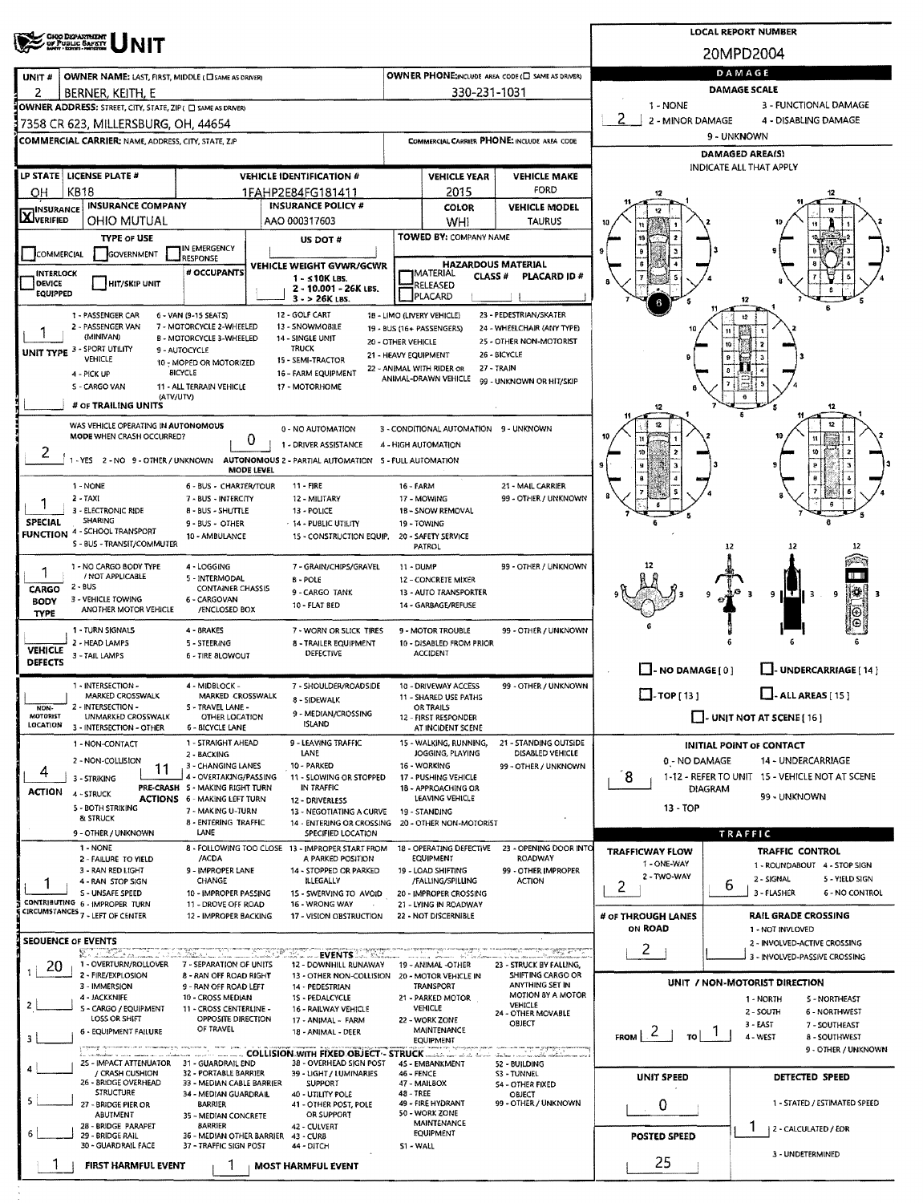